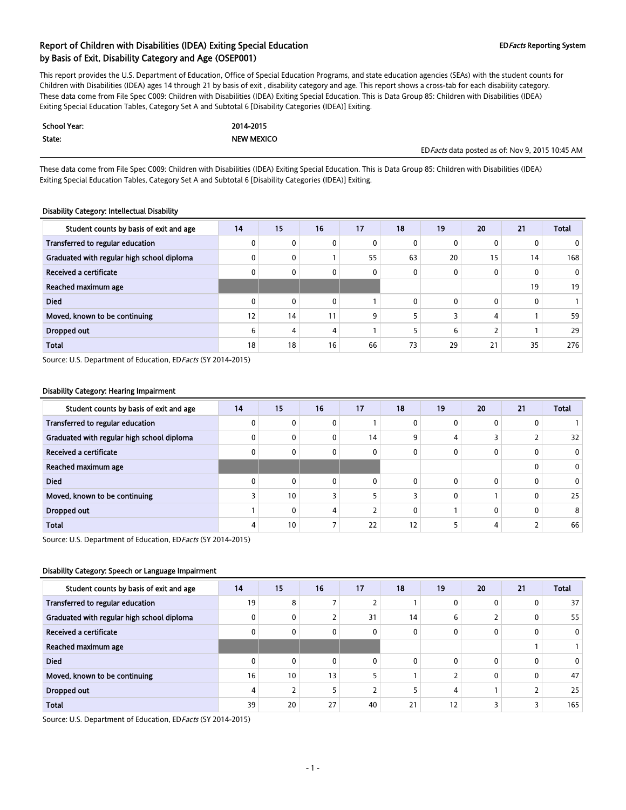This report provides the U.S. Department of Education, Office of Special Education Programs, and state education agencies (SEAs) with the student counts for Children with Disabilities (IDEA) ages 14 through 21 by basis of exit , disability category and age. This report shows a cross-tab for each disability category. These data come from File Spec C009: Children with Disabilities (IDEA) Exiting Special Education. This is Data Group 85: Children with Disabilities (IDEA) Exiting Special Education Tables, Category Set A and Subtotal 6 [Disability Categories (IDEA)] Exiting.

| School Year: | 2014-2015         |                                                  |
|--------------|-------------------|--------------------------------------------------|
| State:       | <b>NEW MEXICO</b> |                                                  |
|              |                   | ED Facts data posted as of: Nov 9, 2015 10:45 AM |

These data come from File Spec C009: Children with Disabilities (IDEA) Exiting Special Education. This is Data Group 85: Children with Disabilities (IDEA) Exiting Special Education Tables, Category Set A and Subtotal 6 [Disability Categories (IDEA)] Exiting.

#### Disability Category: Intellectual Disability

| Student counts by basis of exit and age    | 14 | 15           | 16           | 17 | 18           | 19           | 20           | 21           | <b>Total</b> |
|--------------------------------------------|----|--------------|--------------|----|--------------|--------------|--------------|--------------|--------------|
| Transferred to regular education           |    | 0            | 0            | 0  | $\mathbf{0}$ |              | 0            | 0            |              |
| Graduated with regular high school diploma |    | 0            |              | 55 | 63           | 20           | 15           | 14           | 168          |
| Received a certificate                     |    | 0            | 0            | 0  | $\mathbf{0}$ |              | $\mathbf{0}$ | 0            | $\mathbf{0}$ |
| Reached maximum age                        |    |              |              |    |              |              |              | 19           | 19           |
| <b>Died</b>                                |    | $\mathbf{0}$ | $\mathbf{0}$ |    | $\mathbf{0}$ | $\mathbf{0}$ | $\mathbf{0}$ | $\mathbf{0}$ |              |
| Moved, known to be continuing              | 12 | 14           | 11           | 9  |              |              | 4            |              | 59           |
| Dropped out                                | 6  | 4            | 4            |    |              | h            |              |              | 29           |
| <b>Total</b>                               | 18 | 18           | 16           | 66 | 73           | 29           | 21           | 35           | 276          |

Source: U.S. Department of Education, ED Facts (SY 2014-2015)

#### Disability Category: Hearing Impairment

| Student counts by basis of exit and age    | 14 | 15           | 16 | 17           | 18       | 19 | 20       | 21 | <b>Total</b> |
|--------------------------------------------|----|--------------|----|--------------|----------|----|----------|----|--------------|
| Transferred to regular education           |    | $\mathbf{0}$ | 0  |              | 0        |    | 0        |    |              |
| Graduated with regular high school diploma |    | $\mathbf{0}$ | 0  | 14           | ٩        |    |          | ∠  | 32           |
| Received a certificate                     |    | 0            | 0  | $\mathbf{0}$ | $\Omega$ |    |          |    | $\mathbf{0}$ |
| Reached maximum age                        |    |              |    |              |          |    |          |    | $\mathbf{0}$ |
| <b>Died</b>                                |    | $\mathbf{0}$ | 0  | $\Omega$     | 0        |    | 0        |    | $\mathbf{0}$ |
| Moved, known to be continuing              |    | 10           |    |              |          |    |          | 0  | 25           |
| Dropped out                                |    | 0            | 4  |              | 0        |    | $\Omega$ | 0  | 8            |
| <b>Total</b>                               |    | 10           |    | 22           | 12       |    | 4        |    | 66           |

Source: U.S. Department of Education, ED Facts (SY 2014-2015)

#### Disability Category: Speech or Language Impairment

| Student counts by basis of exit and age    | 14 | 15       | 16 | 17           | 18       | 19 | 20       | 21 | <b>Total</b>    |
|--------------------------------------------|----|----------|----|--------------|----------|----|----------|----|-----------------|
| Transferred to regular education           | 19 | 8        |    |              |          |    | 0        |    | 37 <sup>1</sup> |
| Graduated with regular high school diploma |    | 0        | ∠  | 31           | 14       | b  |          | 0  | 55              |
| Received a certificate                     |    | 0        | 0  | $\mathbf{0}$ | 0        |    |          | 0  | $\overline{0}$  |
| Reached maximum age                        |    |          |    |              |          |    |          |    |                 |
| <b>Died</b>                                |    | $\Omega$ | 0  | $\Omega$     | $\Omega$ | 0  | $\Omega$ | 0  | $\mathbf{0}$    |
| Moved, known to be continuing              | 16 | 10       | 13 | 5            |          |    | $\Omega$ |    | 47              |
| Dropped out                                |    |          | 5  |              |          |    |          |    | 25              |
| <b>Total</b>                               | 39 | 20       | 27 | 40           | 21       | 12 |          |    | 165             |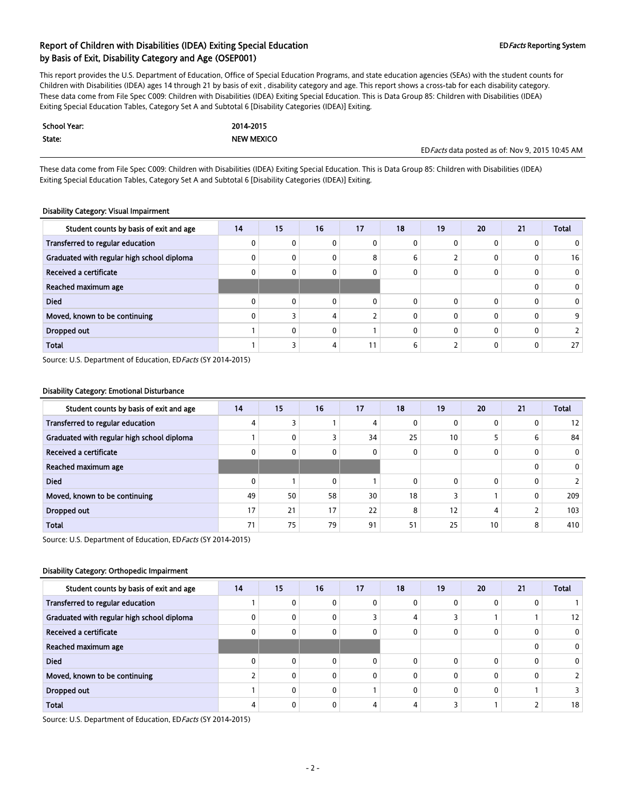This report provides the U.S. Department of Education, Office of Special Education Programs, and state education agencies (SEAs) with the student counts for Children with Disabilities (IDEA) ages 14 through 21 by basis of exit , disability category and age. This report shows a cross-tab for each disability category. These data come from File Spec C009: Children with Disabilities (IDEA) Exiting Special Education. This is Data Group 85: Children with Disabilities (IDEA) Exiting Special Education Tables, Category Set A and Subtotal 6 [Disability Categories (IDEA)] Exiting.

| <b>School Year:</b> | 2014-2015         |                                                  |
|---------------------|-------------------|--------------------------------------------------|
| State:              | <b>NEW MEXICO</b> |                                                  |
|                     |                   | ED Facts data posted as of: Nov 9, 2015 10:45 AM |

These data come from File Spec C009: Children with Disabilities (IDEA) Exiting Special Education. This is Data Group 85: Children with Disabilities (IDEA) Exiting Special Education Tables, Category Set A and Subtotal 6 [Disability Categories (IDEA)] Exiting.

#### Disability Category: Visual Impairment

| Student counts by basis of exit and age    | 14 | 15           | 16 | 17           | 18           | 19 | 20           | 21 | <b>Total</b> |
|--------------------------------------------|----|--------------|----|--------------|--------------|----|--------------|----|--------------|
| Transferred to regular education           |    | 0            | 0  | 0            | $\mathbf{0}$ |    | 0            | 0  |              |
| Graduated with regular high school diploma |    | 0            | 0  | 8            | 6            |    | 0            | 0  | 16           |
| Received a certificate                     |    | 0            | 0  | 0            | 0            |    | $\mathbf{0}$ | 0  |              |
| Reached maximum age                        |    |              |    |              |              |    |              | 0  |              |
| <b>Died</b>                                |    | $\mathbf{0}$ | 0  | $\mathbf{0}$ | 0            |    | $\mathbf{0}$ | 0  |              |
| Moved, known to be continuing              |    |              | 4  |              | 0            |    | $\mathbf{0}$ | 0  |              |
| Dropped out                                |    | $\mathbf{0}$ | 0  |              | 0            |    | $\mathbf{0}$ | 0  |              |
| <b>Total</b>                               |    |              | 4  | 11           | 6            |    | 0            | 0  | 27           |

Source: U.S. Department of Education, ED Facts (SY 2014-2015)

#### Disability Category: Emotional Disturbance

| Student counts by basis of exit and age    | 14 | 15           | 16 | 17 | 18 | 19 | 20           | 21 | <b>Total</b> |
|--------------------------------------------|----|--------------|----|----|----|----|--------------|----|--------------|
| Transferred to regular education           |    |              |    | 4  | 0  |    | $\mathbf{0}$ | 0  | 12           |
| Graduated with regular high school diploma |    | 0            | ∽  | 34 | 25 | 10 |              | 6  | 84           |
| Received a certificate                     |    | $\mathbf{0}$ | 0  | 0  | 0  |    | 0            | 0  | $\mathbf{0}$ |
| Reached maximum age                        |    |              |    |    |    |    |              | 0  | $\mathbf{0}$ |
| <b>Died</b>                                |    |              | 0  |    | 0  |    | 0            | 0  |              |
| Moved, known to be continuing              | 49 | 50           | 58 | 30 | 18 |    |              | 0  | 209          |
| Dropped out                                | 17 | 21           | 17 | 22 | 8  | 12 | 4            |    | 103          |
| <b>Total</b>                               | 71 | 75           | 79 | 91 | 51 | 25 | 10           | 8  | 410          |

Source: U.S. Department of Education, ED Facts (SY 2014-2015)

#### Disability Category: Orthopedic Impairment

| Student counts by basis of exit and age    | 14 | 15           | 16 | 17       | 18           | 19 | 20 | 21 | <b>Total</b>    |
|--------------------------------------------|----|--------------|----|----------|--------------|----|----|----|-----------------|
| Transferred to regular education           |    | $\mathbf{0}$ |    | 0        | 0            |    |    |    |                 |
| Graduated with regular high school diploma |    | $\mathbf{0}$ |    |          | 4            |    |    |    | 12 <sup>1</sup> |
| Received a certificate                     |    | $\mathbf{0}$ | 0  | 0        | $\mathbf{0}$ |    |    |    | 0               |
| Reached maximum age                        |    |              |    |          |              |    |    |    | 0               |
| <b>Died</b>                                |    | $\Omega$     |    | 0        | $\Omega$     |    |    |    | $\mathbf{0}$    |
| Moved, known to be continuing              |    | 0            |    | $\Omega$ | $\Omega$     |    |    |    |                 |
| Dropped out                                |    | 0            |    |          | $\Omega$     |    |    |    |                 |
| <b>Total</b>                               |    | $\mathbf{0}$ |    | 4        | 4            |    |    |    | 18              |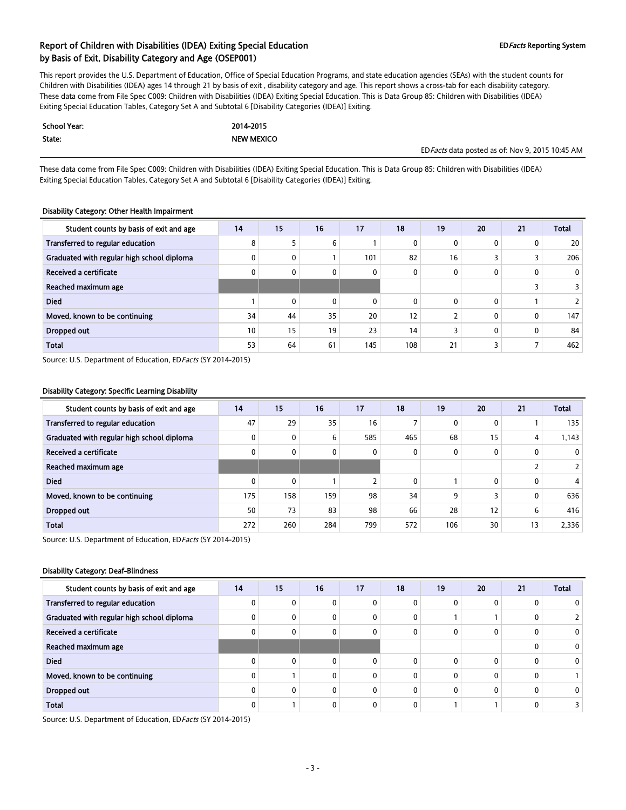This report provides the U.S. Department of Education, Office of Special Education Programs, and state education agencies (SEAs) with the student counts for Children with Disabilities (IDEA) ages 14 through 21 by basis of exit , disability category and age. This report shows a cross-tab for each disability category. These data come from File Spec C009: Children with Disabilities (IDEA) Exiting Special Education. This is Data Group 85: Children with Disabilities (IDEA) Exiting Special Education Tables, Category Set A and Subtotal 6 [Disability Categories (IDEA)] Exiting.

| School Year: | 2014-2015         |                                                  |
|--------------|-------------------|--------------------------------------------------|
| State:       | <b>NEW MEXICO</b> |                                                  |
|              |                   | ED Facts data posted as of: Nov 9, 2015 10:45 AM |

These data come from File Spec C009: Children with Disabilities (IDEA) Exiting Special Education. This is Data Group 85: Children with Disabilities (IDEA) Exiting Special Education Tables, Category Set A and Subtotal 6 [Disability Categories (IDEA)] Exiting.

#### Disability Category: Other Health Impairment

| Student counts by basis of exit and age    | 14 | 15           | 16 | 17  | 18           | 19 | 20           | 21 | <b>Total</b> |
|--------------------------------------------|----|--------------|----|-----|--------------|----|--------------|----|--------------|
| Transferred to regular education           | 8  |              | 6  |     | 0            |    | $\mathbf{0}$ | 0  | 20           |
| Graduated with regular high school diploma |    | 0            |    | 101 | 82           | 16 |              | 3  | 206          |
| Received a certificate                     |    | $\mathbf{0}$ | 0  | 0   | $\mathbf{0}$ |    | $\mathbf{0}$ | 0  | $\mathbf{0}$ |
| Reached maximum age                        |    |              |    |     |              |    |              | 3  |              |
| <b>Died</b>                                |    | $\mathbf{0}$ | 0  | 0   | $\mathbf{0}$ |    | $\mathbf{0}$ |    |              |
| Moved, known to be continuing              | 34 | 44           | 35 | 20  | 12           |    | $\mathbf{0}$ | 0  | 147          |
| Dropped out                                | 10 | 15           | 19 | 23  | 14           |    | $\mathbf{0}$ | 0  | 84           |
| <b>Total</b>                               | 53 | 64           | 61 | 145 | 108          | 21 |              | 7  | 462          |

Source: U.S. Department of Education, ED Facts (SY 2014-2015)

#### Disability Category: Specific Learning Disability

| Student counts by basis of exit and age    | 14  | 15           | 16  | 17  | 18           | 19  | 20           | 21             | <b>Total</b> |
|--------------------------------------------|-----|--------------|-----|-----|--------------|-----|--------------|----------------|--------------|
| Transferred to regular education           | 47  | 29           | 35  | 16  |              |     | $\mathbf{0}$ |                | 135          |
| Graduated with regular high school diploma |     | 0            | 6   | 585 | 465          | 68  | 15           | 4              | 1.143        |
| Received a certificate                     |     | 0            | 0   | 0   | $\mathbf{0}$ |     | $\mathbf{0}$ | 0              |              |
| Reached maximum age                        |     |              |     |     |              |     |              | $\overline{2}$ |              |
| <b>Died</b>                                |     | $\mathbf{0}$ |     |     | $\mathbf{0}$ |     | $\mathbf{0}$ | 0              | 4            |
| Moved, known to be continuing              | 175 | 158          | 159 | 98  | 34           | 9   | 3            | 0              | 636          |
| Dropped out                                | 50  | 73           | 83  | 98  | 66           | 28  | 12           | 6              | 416          |
| <b>Total</b>                               | 272 | 260          | 284 | 799 | 572          | 106 | 30           | 13             | 2,336        |

Source: U.S. Department of Education, ED Facts (SY 2014-2015)

#### Disability Category: Deaf-Blindness

| Student counts by basis of exit and age    | 14 | 15           | 16 | 17 | 18 | 19 | 20 | 21 | <b>Total</b> |
|--------------------------------------------|----|--------------|----|----|----|----|----|----|--------------|
| Transferred to regular education           |    | 0            | 0  |    |    |    |    |    |              |
| Graduated with regular high school diploma |    | 0            | 0  | 0  | 0  |    |    |    |              |
| Received a certificate                     |    | 0            | 0  | 0  | 0  |    |    |    |              |
| Reached maximum age                        |    |              |    |    |    |    |    |    | 0            |
| <b>Died</b>                                |    | $\mathbf{0}$ | 0  | U  | U  |    |    |    | 0            |
| Moved, known to be continuing              |    |              | 0  | n  | 0  |    |    |    |              |
| Dropped out                                |    | $\mathbf{0}$ | 0  | 0  | 0  |    |    |    |              |
| <b>Total</b>                               |    |              | 0  |    |    |    |    |    |              |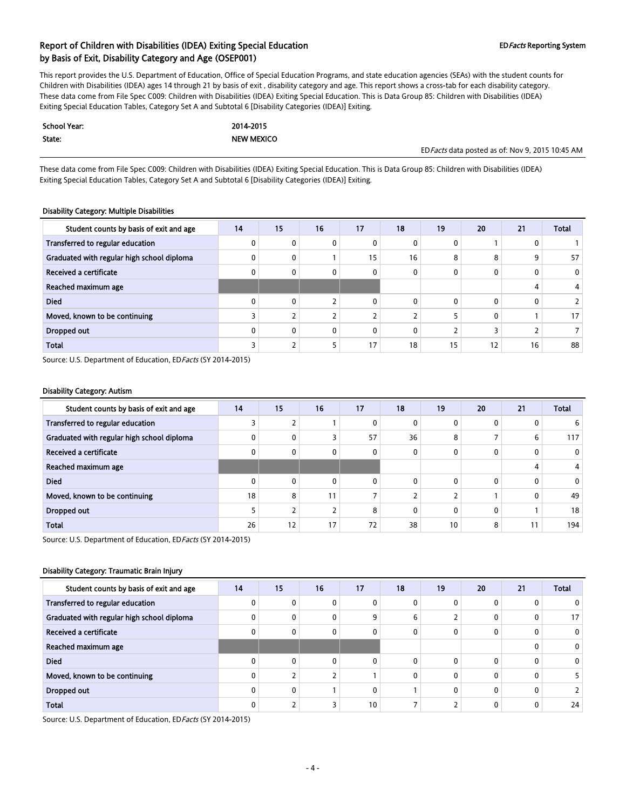This report provides the U.S. Department of Education, Office of Special Education Programs, and state education agencies (SEAs) with the student counts for Children with Disabilities (IDEA) ages 14 through 21 by basis of exit , disability category and age. This report shows a cross-tab for each disability category. These data come from File Spec C009: Children with Disabilities (IDEA) Exiting Special Education. This is Data Group 85: Children with Disabilities (IDEA) Exiting Special Education Tables, Category Set A and Subtotal 6 [Disability Categories (IDEA)] Exiting.

| School Year: | 2014-2015         |                                                  |
|--------------|-------------------|--------------------------------------------------|
| State:       | <b>NEW MEXICO</b> |                                                  |
|              |                   | ED Facts data posted as of: Nov 9, 2015 10:45 AM |

These data come from File Spec C009: Children with Disabilities (IDEA) Exiting Special Education. This is Data Group 85: Children with Disabilities (IDEA) Exiting Special Education Tables, Category Set A and Subtotal 6 [Disability Categories (IDEA)] Exiting.

#### Disability Category: Multiple Disabilities

| Student counts by basis of exit and age    | 14 | 15           | 16             | 17           | 18           | 19 | 20           | 21 | <b>Total</b> |
|--------------------------------------------|----|--------------|----------------|--------------|--------------|----|--------------|----|--------------|
| Transferred to regular education           |    | 0            | 0              | 0            | 0            |    |              | 0  |              |
| Graduated with regular high school diploma |    | 0            |                | 15           | 16           | 8  | 8            | 9  | 57           |
| Received a certificate                     |    | 0            | 0              | 0            | $\mathbf{0}$ |    | $\mathbf{0}$ | 0  | $\mathbf{0}$ |
| Reached maximum age                        |    |              |                |              |              |    |              | 4  |              |
| <b>Died</b>                                |    | $\mathbf{0}$ |                | $\mathbf{0}$ | $\Omega$     |    | $\mathbf{0}$ | 0  |              |
| Moved, known to be continuing              |    |              | $\overline{2}$ |              |              |    | $\mathbf{0}$ |    | 17           |
| Dropped out                                |    | $\mathbf{0}$ | $\mathbf{0}$   | $\mathbf{0}$ | $\Omega$     |    |              |    |              |
| <b>Total</b>                               |    |              | 5              | 17           | 18           | 15 | 12           | 16 | 88           |

Source: U.S. Department of Education, ED Facts (SY 2014-2015)

#### Disability Category: Autism

| Student counts by basis of exit and age    | 14 | 15           | 16 | 17           | 18 | 19 | 20           | 21 | <b>Total</b> |
|--------------------------------------------|----|--------------|----|--------------|----|----|--------------|----|--------------|
| Transferred to regular education           |    |              |    | 0            | 0  |    | $\mathbf{0}$ | 0  | 6            |
| Graduated with regular high school diploma |    | 0            |    | 57           | 36 | 8  |              | 6  | 117          |
| Received a certificate                     |    | $\mathbf{0}$ | 0  | $\mathbf{0}$ | 0  |    | $\Omega$     | 0  | 0            |
| Reached maximum age                        |    |              |    |              |    |    |              | 4  |              |
| <b>Died</b>                                |    | $\mathbf{0}$ | 0  | $\Omega$     | 0  |    | 0            | 0  | 0            |
| Moved, known to be continuing              | 18 | 8            | 11 |              |    |    |              | 0  | 49           |
| <b>Dropped out</b>                         |    |              |    | 8            | 0  |    | 0            |    | 18           |
| <b>Total</b>                               | 26 | 12           | 17 | 72           | 38 | 10 | 8            | 11 | 194          |

Source: U.S. Department of Education, ED Facts (SY 2014-2015)

#### Disability Category: Traumatic Brain Injury

| Student counts by basis of exit and age    | 14 | 15           | 16 | 17              | 18 | 19 | 20       | 21           | <b>Total</b> |
|--------------------------------------------|----|--------------|----|-----------------|----|----|----------|--------------|--------------|
| Transferred to regular education           |    | $\mathbf{0}$ | 0  | 0               |    | 0  | 0        | 0            |              |
| Graduated with regular high school diploma |    | 0            | 0  | 9               | 6  |    | 0        | 0            | 17           |
| Received a certificate                     |    | 0            | 0  | 0               |    | 0  |          | 0            | 0            |
| Reached maximum age                        |    |              |    |                 |    |    |          | 0            | 0            |
| <b>Died</b>                                |    | $\Omega$     | 0  | $\Omega$        |    | 0  |          | $\Omega$     | 0            |
| Moved, known to be continuing              |    |              |    |                 |    | 0  |          | 0            |              |
| Dropped out                                |    | 0            |    | 0               |    | 0  | $\Omega$ | $\mathbf{0}$ |              |
| <b>Total</b>                               |    |              |    | 10 <sup>°</sup> |    |    |          | 0            | 24           |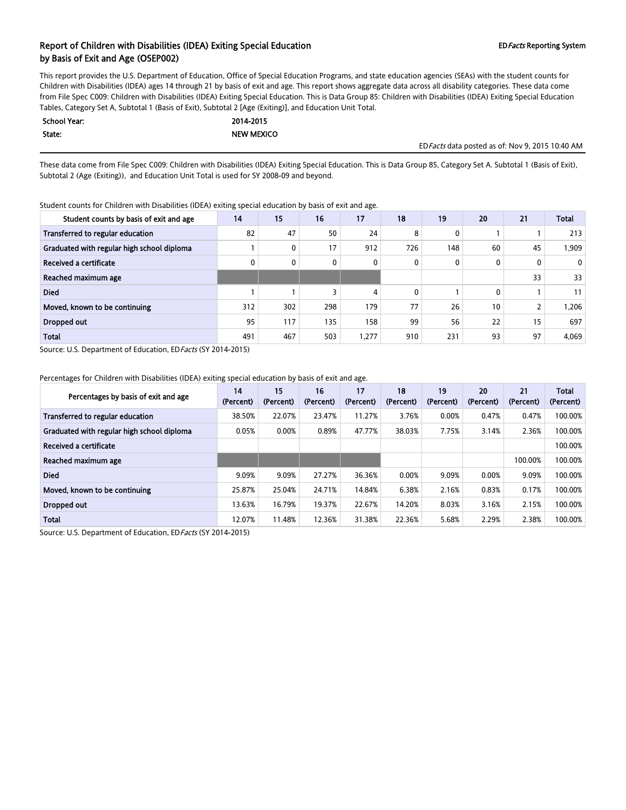This report provides the U.S. Department of Education, Office of Special Education Programs, and state education agencies (SEAs) with the student counts for Children with Disabilities (IDEA) ages 14 through 21 by basis of exit and age. This report shows aggregate data across all disability categories. These data come from File Spec C009: Children with Disabilities (IDEA) Exiting Special Education. This is Data Group 85: Children with Disabilities (IDEA) Exiting Special Education Tables, Category Set A, Subtotal 1 (Basis of Exit), Subtotal 2 [Age (Exiting)], and Education Unit Total.

| <b>School Year:</b> | 2014-2015         |
|---------------------|-------------------|
| State:              | <b>NEW MEXICO</b> |

EDFacts data posted as of: Nov 9, 2015 10:40 AM

These data come from File Spec C009: Children with Disabilities (IDEA) Exiting Special Education. This is Data Group 85, Category Set A. Subtotal 1 (Basis of Exit), Subtotal 2 (Age (Exiting)), and Education Unit Total is used for SY 2008-09 and beyond.

Student counts for Children with Disabilities (IDEA) exiting special education by basis of exit and age.

| Student counts by basis of exit and age    | 14  | 15  | 16  | 17   | 18  | 19  | 20           | 21             | <b>Total</b> |
|--------------------------------------------|-----|-----|-----|------|-----|-----|--------------|----------------|--------------|
| Transferred to regular education           | 82  | 47  | 50  | 24   | 8   | 0   |              |                | 213          |
| Graduated with regular high school diploma |     | 0   | 17  | 912  | 726 | 148 | 60           | 45             | 1,909        |
| Received a certificate                     |     | 0   | 0   | 0    | 0   | 0   | $\mathbf{0}$ | 0              | $\mathbf 0$  |
| Reached maximum age                        |     |     |     |      |     |     |              | 33             | 33           |
| <b>Died</b>                                |     |     | 3   | 4    | 0   |     | 0            |                | 11           |
| Moved, known to be continuing              | 312 | 302 | 298 | 179  | 77  | 26  | 10           | $\overline{2}$ | 1,206        |
| Dropped out                                | 95  | 117 | 135 | 158  | 99  | 56  | 22           | 15             | 697          |
| <b>Total</b>                               | 491 | 467 | 503 | ,277 | 910 | 231 | 93           | 97             | 4,069        |

Source: U.S. Department of Education, ED Facts (SY 2014-2015)

Percentages for Children with Disabilities (IDEA) exiting special education by basis of exit and age.

| Percentages by basis of exit and age       | 14<br>(Percent) | 15<br>(Percent) | 16<br>(Percent) | 17<br>(Percent) | 18<br>(Percent) | 19<br>(Percent) | 20<br>(Percent) | 21<br>(Percent) | <b>Total</b><br>(Percent) |
|--------------------------------------------|-----------------|-----------------|-----------------|-----------------|-----------------|-----------------|-----------------|-----------------|---------------------------|
| Transferred to regular education           | 38.50%          | 22.07%          | 23.47%          | 11.27%          | 3.76%           | 0.00%           | 0.47%           | 0.47%           | 100.00%                   |
| Graduated with regular high school diploma | 0.05%           | 0.00%           | 0.89%           | 47.77%          | 38.03%          | 7.75%           | 3.14%           | 2.36%           | 100.00%                   |
| Received a certificate                     |                 |                 |                 |                 |                 |                 |                 |                 | 100.00%                   |
| Reached maximum age                        |                 |                 |                 |                 |                 |                 |                 | 100.00%         | 100.00%                   |
| <b>Died</b>                                | 9.09%           | 9.09%           | 27.27%          | 36.36%          | 0.00%           | 9.09%           | 0.00%           | 9.09%           | 100.00%                   |
| Moved, known to be continuing              | 25.87%          | 25.04%          | 24.71%          | 14.84%          | 6.38%           | 2.16%           | 0.83%           | 0.17%           | 100.00%                   |
| Dropped out                                | 13.63%          | 16.79%          | 19.37%          | 22.67%          | 14.20%          | 8.03%           | 3.16%           | 2.15%           | 100.00%                   |
| <b>Total</b>                               | 12.07%          | 11.48%          | 12.36%          | 31.38%          | 22.36%          | 5.68%           | 2.29%           | 2.38%           | 100.00%                   |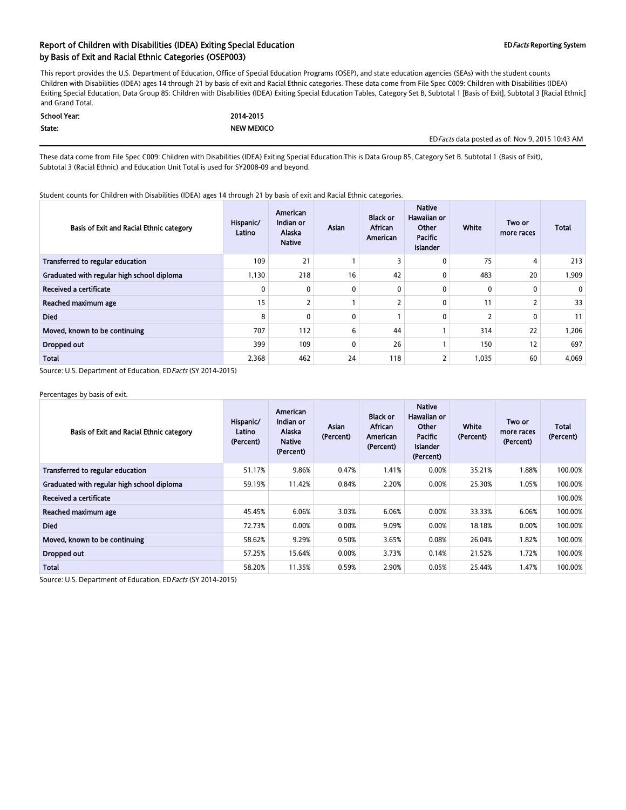### Report of Children with Disabilities (IDEA) Exiting Special Education EDFacts Reporting System by Basis of Exit and Racial Ethnic Categories (OSEP003)

This report provides the U.S. Department of Education, Office of Special Education Programs (OSEP), and state education agencies (SEAs) with the student counts Children with Disabilities (IDEA) ages 14 through 21 by basis of exit and Racial Ethnic categories. These data come from File Spec C009: Children with Disabilities (IDEA) Exiting Special Education, Data Group 85: Children with Disabilities (IDEA) Exiting Special Education Tables, Category Set B, Subtotal 1 [Basis of Exit], Subtotal 3 [Racial Ethnic] and Grand Total.

| School Year: | 2014-2015         |
|--------------|-------------------|
| State:       | <b>NEW MEXICO</b> |

EDFacts data posted as of: Nov 9, 2015 10:43 AM

These data come from File Spec C009: Children with Disabilities (IDEA) Exiting Special Education.This is Data Group 85, Category Set B. Subtotal 1 (Basis of Exit), Subtotal 3 (Racial Ethnic) and Education Unit Total is used for SY2008-09 and beyond.

Student counts for Children with Disabilities (IDEA) ages 14 through 21 by basis of exit and Racial Ethnic categories.

| Basis of Exit and Racial Ethnic category   | Hispanic/<br>Latino | American<br>Indian or<br>Alaska<br><b>Native</b> | Asian        | <b>Black or</b><br>African<br>American | <b>Native</b><br>Hawaiian or<br>Other<br>Pacific<br>Islander | <b>White</b> | Two or<br>more races | <b>Total</b> |
|--------------------------------------------|---------------------|--------------------------------------------------|--------------|----------------------------------------|--------------------------------------------------------------|--------------|----------------------|--------------|
| Transferred to regular education           | 109                 | 21                                               |              |                                        | $\mathbf{0}$                                                 | 75           | 4                    | 213          |
| Graduated with regular high school diploma | 1,130               | 218                                              | 16           | 42                                     | 0                                                            | 483          | 20                   | 909. ا       |
| Received a certificate                     | 0                   | 0                                                | 0            | 0                                      | 0                                                            | $\mathbf{0}$ | 0                    | 0            |
| Reached maximum age                        | 15                  |                                                  |              |                                        | $\mathbf{0}$                                                 | 11           | $\overline{2}$       | 33           |
| <b>Died</b>                                | 8                   | $\mathbf{0}$                                     | $\mathbf{0}$ |                                        | $\Omega$                                                     |              | 0                    | 11           |
| Moved, known to be continuing              | 707                 | 112                                              | 6            | 44                                     |                                                              | 314          | 22                   | 1.206        |
| Dropped out                                | 399                 | 109                                              | 0            | 26                                     |                                                              | 150          | 12                   | 697          |
| <b>Total</b>                               | 2,368               | 462                                              | 24           | 118                                    | 2                                                            | 1,035        | 60                   | 4,069        |

Source: U.S. Department of Education, EDFacts (SY 2014-2015)

Percentages by basis of exit.

| Basis of Exit and Racial Ethnic category   | Hispanic/<br>Latino<br>(Percent) | American<br>Indian or<br>Alaska<br><b>Native</b><br>(Percent) | Asian<br>(Percent) | <b>Black or</b><br>African<br>American<br>(Percent) | <b>Native</b><br>Hawaiian or<br>Other<br>Pacific<br>Islander<br>(Percent) | White<br>(Percent) | Two or<br>more races<br>(Percent) | <b>Total</b><br>(Percent) |
|--------------------------------------------|----------------------------------|---------------------------------------------------------------|--------------------|-----------------------------------------------------|---------------------------------------------------------------------------|--------------------|-----------------------------------|---------------------------|
| Transferred to regular education           | 51.17%                           | 9.86%                                                         | 0.47%              | 1.41%                                               | 0.00%                                                                     | 35.21%             | 1.88%                             | 100.00%                   |
| Graduated with regular high school diploma | 59.19%                           | 11.42%                                                        | 0.84%              | 2.20%                                               | 0.00%                                                                     | 25.30%             | 1.05%                             | 100.00%                   |
| Received a certificate                     |                                  |                                                               |                    |                                                     |                                                                           |                    |                                   | 100.00%                   |
| Reached maximum age                        | 45.45%                           | 6.06%                                                         | 3.03%              | 6.06%                                               | 0.00%                                                                     | 33.33%             | 6.06%                             | 100.00%                   |
| <b>Died</b>                                | 72.73%                           | 0.00%                                                         | 0.00%              | 9.09%                                               | 0.00%                                                                     | 18.18%             | 0.00%                             | 100.00%                   |
| Moved, known to be continuing              | 58.62%                           | 9.29%                                                         | 0.50%              | 3.65%                                               | 0.08%                                                                     | 26.04%             | 1.82%                             | 100.00%                   |
| Dropped out                                | 57.25%                           | 15.64%                                                        | 0.00%              | 3.73%                                               | 0.14%                                                                     | 21.52%             | 1.72%                             | 100.00%                   |
| <b>Total</b>                               | 58.20%                           | 11.35%                                                        | 0.59%              | 2.90%                                               | 0.05%                                                                     | 25.44%             | 1.47%                             | 100.00%                   |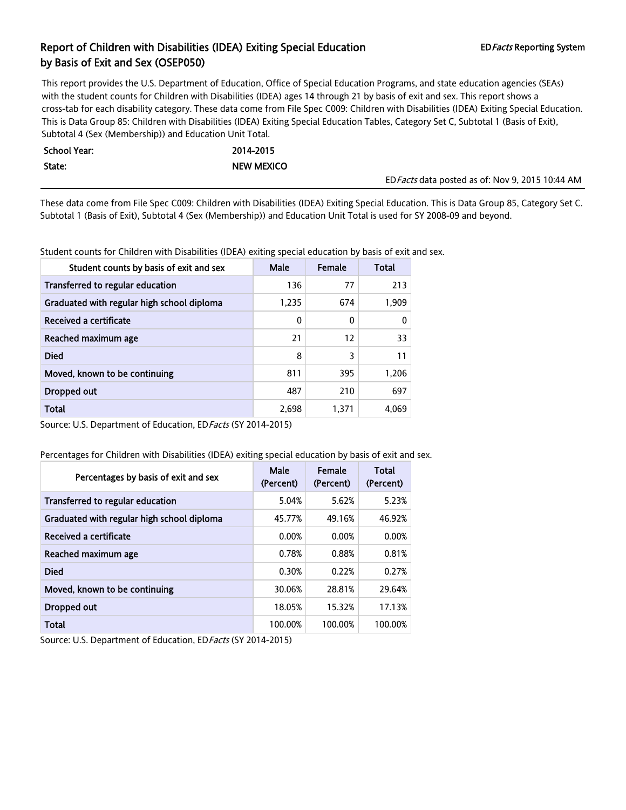This report provides the U.S. Department of Education, Office of Special Education Programs, and state education agencies (SEAs) with the student counts for Children with Disabilities (IDEA) ages 14 through 21 by basis of exit and sex. This report shows a cross-tab for each disability category. These data come from File Spec C009: Children with Disabilities (IDEA) Exiting Special Education. This is Data Group 85: Children with Disabilities (IDEA) Exiting Special Education Tables, Category Set C, Subtotal 1 (Basis of Exit), Subtotal 4 (Sex (Membership)) and Education Unit Total.

| <b>School Year:</b> | 2014-2015  |                                                  |
|---------------------|------------|--------------------------------------------------|
| State:              | NEW MEXICO |                                                  |
|                     |            | ED Facts data posted as of: Nov 9, 2015 10:44 AM |

These data come from File Spec C009: Children with Disabilities (IDEA) Exiting Special Education. This is Data Group 85, Category Set C. Subtotal 1 (Basis of Exit), Subtotal 4 (Sex (Membership)) and Education Unit Total is used for SY 2008-09 and beyond.

Student counts for Children with Disabilities (IDEA) exiting special education by basis of exit and sex.

| Student counts by basis of exit and sex    | <b>Male</b> | Female | Total |
|--------------------------------------------|-------------|--------|-------|
| Transferred to regular education           | 136         | 77     | 213   |
| Graduated with regular high school diploma | 1,235       | 674    | 1,909 |
| Received a certificate                     | 0           | 0      | 0     |
| Reached maximum age                        | 21          | 12     | 33    |
| <b>Died</b>                                | 8           | 3      | 11    |
| Moved, known to be continuing              | 811         | 395    | 1.206 |
| Dropped out                                | 487         | 210    | 697   |
| Total                                      | 2,698       | 1.371  | 4.069 |

Source: U.S. Department of Education, ED Facts (SY 2014-2015)

Percentages for Children with Disabilities (IDEA) exiting special education by basis of exit and sex.

| Percentages by basis of exit and sex       | Male<br>(Percent) | Female<br>(Percent) | <b>Total</b><br>(Percent) |
|--------------------------------------------|-------------------|---------------------|---------------------------|
| Transferred to regular education           | 5.04%             | 5.62%               | 5.23%                     |
| Graduated with regular high school diploma | 45.77%            | 49.16%              | 46.92%                    |
| <b>Received a certificate</b>              | 0.00%             | 0.00%               | 0.00%                     |
| Reached maximum age                        | 0.78%             | 0.88%               | 0.81%                     |
| <b>Died</b>                                | 0.30%             | 0.22%               | 0.27%                     |
| Moved, known to be continuing              | 30.06%            | 28.81%              | 29.64%                    |
| Dropped out                                | 18.05%            | 15.32%              | 17.13%                    |
| <b>Total</b>                               | 100.00%           | 100.00%             | 100.00%                   |